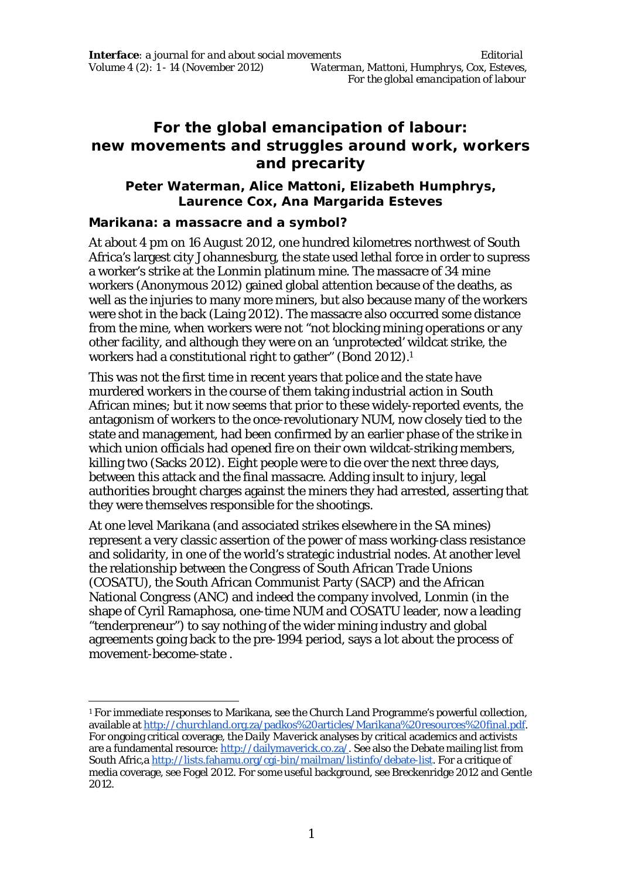# **For the global emancipation of labour: new movements and struggles around work, workers and precarity**

## **Peter Waterman, Alice Mattoni, Elizabeth Humphrys, Laurence Cox, Ana Margarida Esteves**

## **Marikana: a massacre and a symbol?**

 $\overline{a}$ 

At about 4 pm on 16 August 2012, one hundred kilometres northwest of South Africa's largest city Johannesburg, the state used lethal force in order to supress a worker's strike at the Lonmin platinum mine. The massacre of 34 mine workers (Anonymous 2012) gained global attention because of the deaths, as well as the injuries to many more miners, but also because many of the workers were shot in the back (Laing 2012). The massacre also occurred some distance from the mine, when workers were not "not blocking mining operations or any other facility, and although they were on an 'unprotected' wildcat strike, the workers had a constitutional right to gather" (Bond 2012).<sup>1</sup>

This was not the first time in recent years that police and the state have murdered workers in the course of them taking industrial action in South African mines; but it now seems that prior to these widely-reported events, the antagonism of workers to the once-revolutionary NUM, now closely tied to the state and management, had been confirmed by an earlier phase of the strike in which union officials had opened fire on their own wildcat-striking members, killing two (Sacks 2012). Eight people were to die over the next three days, between this attack and the final massacre. Adding insult to injury, legal authorities brought charges against the miners they had arrested, asserting that they were themselves responsible for the shootings.

At one level Marikana (and associated strikes elsewhere in the SA mines) represent a very classic assertion of the power of mass working-class resistance and solidarity, in one of the world's strategic industrial nodes. At another level the relationship between the Congress of South African Trade Unions (COSATU), the South African Communist Party (SACP) and the African National Congress (ANC) and indeed the company involved, Lonmin (in the shape of Cyril Ramaphosa, one-time NUM and COSATU leader, now a leading "tenderpreneur") to say nothing of the wider mining industry and global agreements going back to the pre-1994 period, says a lot about the process of movement-become-state .

<sup>1</sup> For immediate responses to Marikana, see the Church Land Programme's powerful collection, available at http://churchland.org.za/padkos%20articles/Marikana%20resources%20final.pdf. For ongoing critical coverage, the *Daily Maverick* analyses by critical academics and activists are a fundamental resource: http://dailymaverick.co.za/. See also the *Debate* mailing list from South Afric,a http://lists.fahamu.org/cgi-bin/mailman/listinfo/debate-list. For a critique of media coverage, see Fogel 2012. For some useful background, see Breckenridge 2012 and Gentle 2012.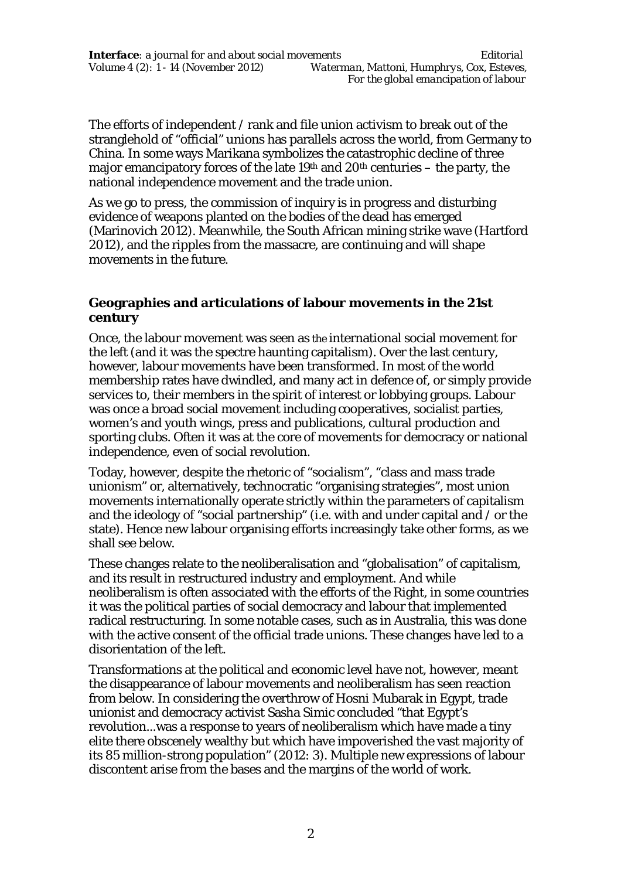The efforts of independent / rank and file union activism to break out of the stranglehold of "official" unions has parallels across the world, from Germany to China. In some ways Marikana symbolizes the catastrophic decline of three major emancipatory forces of the late 19<sup>th</sup> and 20<sup>th</sup> centuries  $-$  the party, the national independence movement and the trade union.

As we go to press, the commission of inquiry is in progress and disturbing evidence of weapons planted on the bodies of the dead has emerged (Marinovich 2012). Meanwhile, the South African mining strike wave (Hartford 2012), and the ripples from the massacre, are continuing and will shape movements in the future.

## **Geographies and articulations of labour movements in the 21st century**

Once, the labour movement was seen as *the* international social movement for the left (and it was the spectre haunting capitalism). Over the last century, however, labour movements have been transformed. In most of the world membership rates have dwindled, and many act in defence of, or simply provide services to, their members in the spirit of interest or lobbying groups. Labour was once a broad social movement including cooperatives, socialist parties, women's and youth wings, press and publications, cultural production and sporting clubs. Often it was at the core of movements for democracy or national independence, even of social revolution.

Today, however, despite the rhetoric of "socialism", "class and mass trade unionism" or, alternatively, technocratic "organising strategies", most union movements internationally operate strictly within the parameters of capitalism and the ideology of "social partnership" (i.e. with and under capital and / or the state). Hence new labour organising efforts increasingly take other forms, as we shall see below.

These changes relate to the neoliberalisation and "globalisation" of capitalism, and its result in restructured industry and employment. And while neoliberalism is often associated with the efforts of the Right, in some countries it was the political parties of social democracy and labour that implemented radical restructuring. In some notable cases, such as in Australia, this was done with the active consent of the official trade unions. These changes have led to a disorientation of the left.

Transformations at the political and economic level have not, however, meant the disappearance of labour movements and neoliberalism has seen reaction from below. In considering the overthrow of Hosni Mubarak in Egypt, trade unionist and democracy activist Sasha Simic concluded "that Egypt's revolution...was a response to years of neoliberalism which have made a tiny elite there obscenely wealthy but which have impoverished the vast majority of its 85 million-strong population" (2012: 3). Multiple new expressions of labour discontent arise from the bases and the margins of the world of work.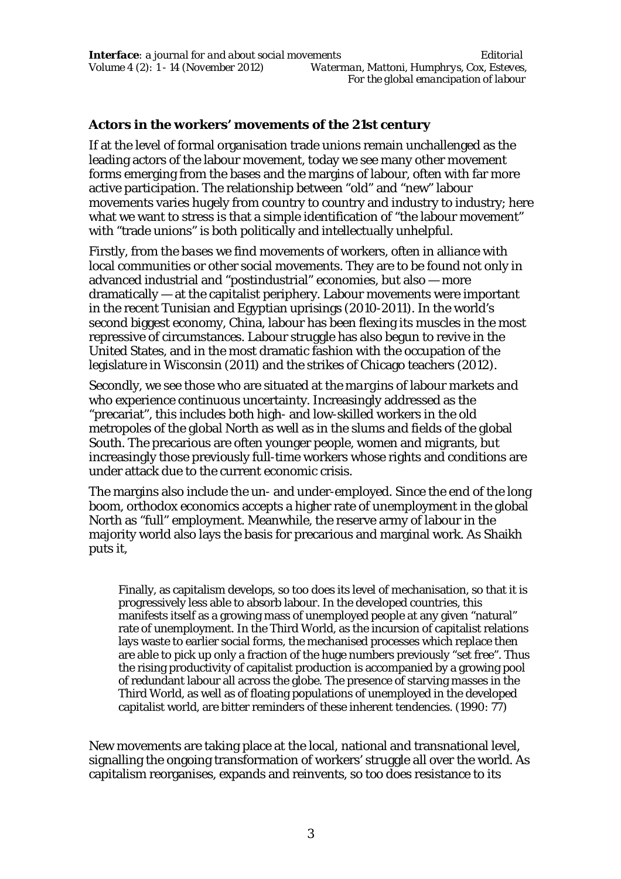## **Actors in the workers' movements of the 21st century**

If at the level of formal organisation trade unions remain unchallenged as the leading actors of the labour movement, today we see many other movement forms emerging from the bases and the margins of labour, often with far more active participation. The relationship between "old" and "new" labour movements varies hugely from country to country and industry to industry; here what we want to stress is that a simple identification of "the labour movement" with "trade unions" is both politically and intellectually unhelpful.

Firstly, from the *bases* we find movements of workers, often in alliance with local communities or other social movements. They are to be found not only in advanced industrial and "postindustrial" economies, but also — more dramatically — at the capitalist periphery. Labour movements were important in the recent Tunisian and Egyptian uprisings (2010-2011). In the world's second biggest economy, China, labour has been flexing its muscles in the most repressive of circumstances. Labour struggle has also begun to revive in the United States, and in the most dramatic fashion with the occupation of the legislature in Wisconsin (2011) and the strikes of Chicago teachers (2012).

Secondly, we see those who are situated at the *margins* of labour markets and who experience continuous uncertainty. Increasingly addressed as the "precariat", this includes both high- and low-skilled workers in the old metropoles of the global North as well as in the slums and fields of the global South. The precarious are often younger people, women and migrants, but increasingly those previously full-time workers whose rights and conditions are under attack due to the current economic crisis.

The margins also include the un- and under-employed. Since the end of the long boom, orthodox economics accepts a higher rate of unemployment in the global North as "full" employment. Meanwhile, the reserve army of labour in the majority world also lays the basis for precarious and marginal work. As Shaikh puts it,

Finally, as capitalism develops, so too does its level of mechanisation, so that it is progressively less able to absorb labour. In the developed countries, this manifests itself as a growing mass of unemployed people at any given "natural" rate of unemployment. In the Third World, as the incursion of capitalist relations lays waste to earlier social forms, the mechanised processes which replace then are able to pick up only a fraction of the huge numbers previously "set free". Thus the rising productivity of capitalist production is accompanied by a growing pool of redundant labour all across the globe. The presence of starving masses in the Third World, as well as of floating populations of unemployed in the developed capitalist world, are bitter reminders of these inherent tendencies. (1990: 77)

New movements are taking place at the local, national and transnational level, signalling the ongoing transformation of workers' struggle all over the world. As capitalism reorganises, expands and reinvents, so too does resistance to its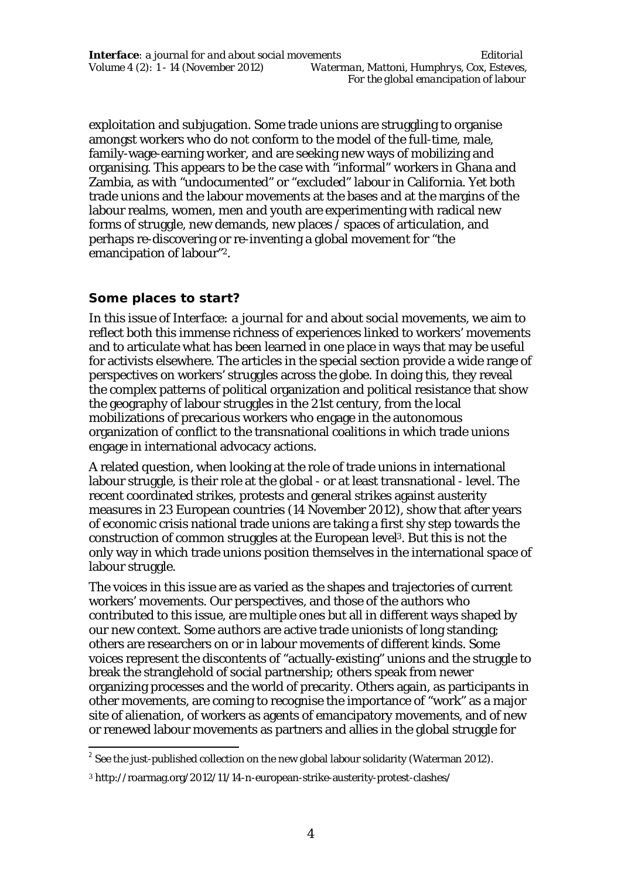exploitation and subjugation. Some trade unions are struggling to organise amongst workers who do not conform to the model of the full-time, male, family-wage-earning worker, and are seeking new ways of mobilizing and organising. This appears to be the case with "informal" workers in Ghana and Zambia, as with "undocumented" or "excluded" labour in California. Yet both trade unions and the labour movements at the bases and at the margins of the labour realms, women, men and youth are experimenting with radical new forms of struggle, new demands, new places / spaces of articulation, and perhaps re-discovering or re-inventing a global movement for "the emancipation of labour"2.

## **Some places to start?**

In this issue of *Interface: a journal for and about social movements,* we aim to reflect both this immense richness of experiences linked to workers' movements and to articulate what has been learned in one place in ways that may be useful for activists elsewhere. The articles in the special section provide a wide range of perspectives on workers' struggles across the globe. In doing this, they reveal the complex patterns of political organization and political resistance that show the geography of labour struggles in the 21st century, from the local mobilizations of precarious workers who engage in the autonomous organization of conflict to the transnational coalitions in which trade unions engage in international advocacy actions.

A related question, when looking at the role of trade unions in international labour struggle, is their role at the global - or at least transnational - level. The recent coordinated strikes, protests and general strikes against austerity measures in 23 European countries (14 November 2012), show that after years of economic crisis national trade unions are taking a first shy step towards the construction of common struggles at the European level3. But this is not the only way in which trade unions position themselves in the international space of labour struggle.

The voices in this issue are as varied as the shapes and trajectories of current workers' movements. Our perspectives, and those of the authors who contributed to this issue, are multiple ones but all in different ways shaped by our new context. Some authors are active trade unionists of long standing; others are researchers on or in labour movements of different kinds. Some voices represent the discontents of "actually-existing" unions and the struggle to break the stranglehold of social partnership; others speak from newer organizing processes and the world of precarity. Others again, as participants in other movements, are coming to recognise the importance of "work" as a major site of alienation, of workers as agents of emancipatory movements, and of new or renewed labour movements as partners and allies in the global struggle for

 2 See the just-published collection on the new global labour solidarity (Waterman 2012).

<sup>3</sup> http://roarmag.org/2012/11/14-n-european-strike-austerity-protest-clashes/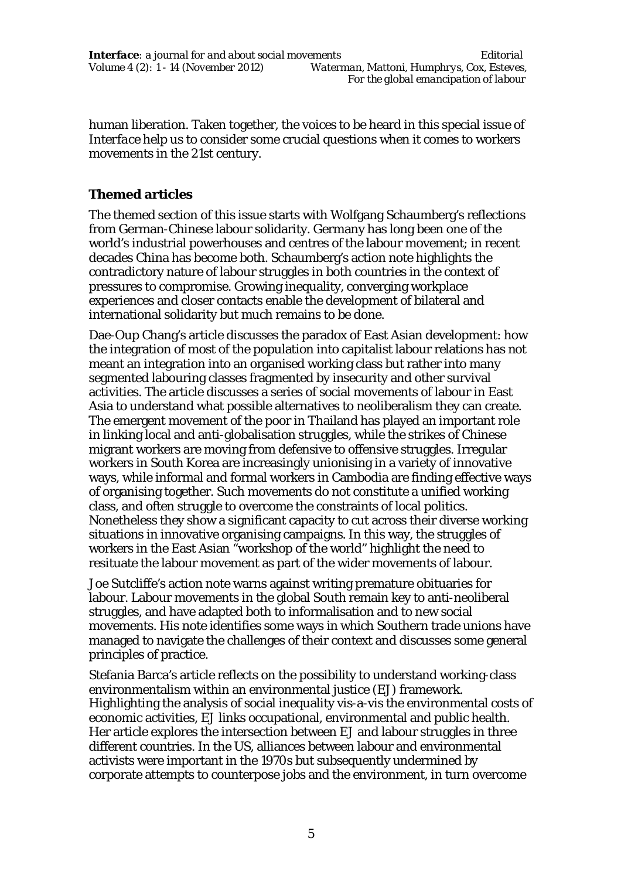human liberation. Taken together, the voices to be heard in this special issue of *Interface* help us to consider some crucial questions when it comes to workers movements in the 21st century.

## **Themed articles**

The themed section of this issue starts with Wolfgang Schaumberg's reflections from German-Chinese labour solidarity. Germany has long been one of the world's industrial powerhouses and centres of the labour movement; in recent decades China has become both. Schaumberg's action note highlights the contradictory nature of labour struggles in both countries in the context of pressures to compromise. Growing inequality, converging workplace experiences and closer contacts enable the development of bilateral and international solidarity but much remains to be done.

Dae-Oup Chang's article discusses the paradox of East Asian development: how the integration of most of the population into capitalist labour relations has not meant an integration into an organised working class but rather into many segmented labouring classes fragmented by insecurity and other survival activities. The article discusses a series of social movements of labour in East Asia to understand what possible alternatives to neoliberalism they can create. The emergent movement of the poor in Thailand has played an important role in linking local and anti-globalisation struggles, while the strikes of Chinese migrant workers are moving from defensive to offensive struggles. Irregular workers in South Korea are increasingly unionising in a variety of innovative ways, while informal and formal workers in Cambodia are finding effective ways of organising together. Such movements do not constitute a unified working class, and often struggle to overcome the constraints of local politics. Nonetheless they show a significant capacity to cut across their diverse working situations in innovative organising campaigns. In this way, the struggles of workers in the East Asian "workshop of the world" highlight the need to resituate the labour movement as part of the wider movements of labour.

Joe Sutcliffe's action note warns against writing premature obituaries for labour. Labour movements in the global South remain key to anti-neoliberal struggles, and have adapted both to informalisation and to new social movements. His note identifies some ways in which Southern trade unions have managed to navigate the challenges of their context and discusses some general principles of practice.

Stefania Barca's article reflects on the possibility to understand working-class environmentalism within an environmental justice (EJ) framework. Highlighting the analysis of social inequality vis-a-vis the environmental costs of economic activities, EJ links occupational, environmental and public health. Her article explores the intersection between EJ and labour struggles in three different countries. In the US, alliances between labour and environmental activists were important in the 1970s but subsequently undermined by corporate attempts to counterpose jobs and the environment, in turn overcome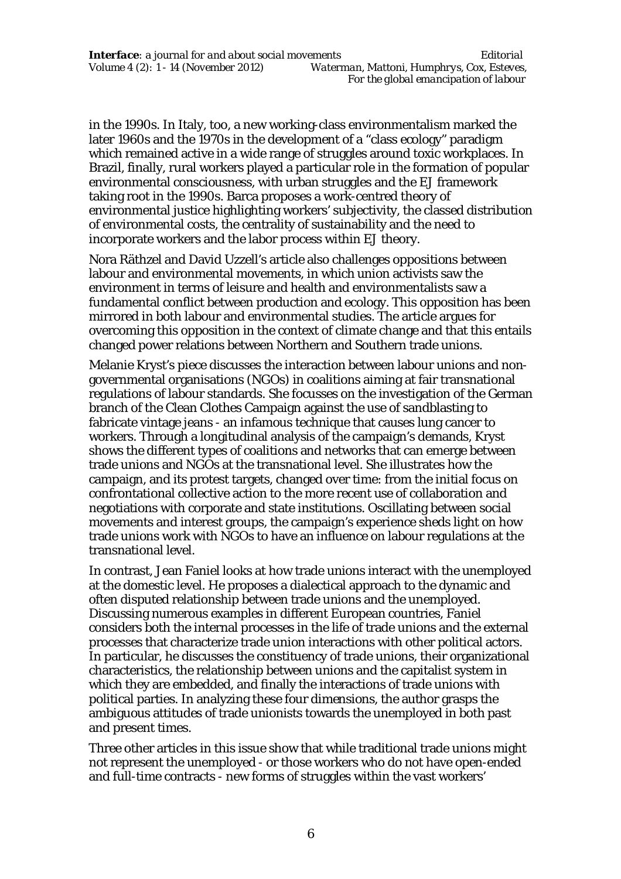in the 1990s. In Italy, too, a new working-class environmentalism marked the later 1960s and the 1970s in the development of a "class ecology" paradigm which remained active in a wide range of struggles around toxic workplaces. In Brazil, finally, rural workers played a particular role in the formation of popular environmental consciousness, with urban struggles and the EJ framework taking root in the 1990s. Barca proposes a work-centred theory of environmental justice highlighting workers' subjectivity, the classed distribution of environmental costs, the centrality of sustainability and the need to incorporate workers and the labor process within EJ theory.

Nora Räthzel and David Uzzell's article also challenges oppositions between labour and environmental movements, in which union activists saw the environment in terms of leisure and health and environmentalists saw a fundamental conflict between production and ecology. This opposition has been mirrored in both labour and environmental studies. The article argues for overcoming this opposition in the context of climate change and that this entails changed power relations between Northern and Southern trade unions.

Melanie Kryst's piece discusses the interaction between labour unions and nongovernmental organisations (NGOs) in coalitions aiming at fair transnational regulations of labour standards. She focusses on the investigation of the German branch of the Clean Clothes Campaign against the use of sandblasting to fabricate vintage jeans - an infamous technique that causes lung cancer to workers. Through a longitudinal analysis of the campaign's demands, Kryst shows the different types of coalitions and networks that can emerge between trade unions and NGOs at the transnational level. She illustrates how the campaign, and its protest targets, changed over time: from the initial focus on confrontational collective action to the more recent use of collaboration and negotiations with corporate and state institutions. Oscillating between social movements and interest groups, the campaign's experience sheds light on how trade unions work with NGOs to have an influence on labour regulations at the transnational level.

In contrast, Jean Faniel looks at how trade unions interact with the unemployed at the domestic level. He proposes a dialectical approach to the dynamic and often disputed relationship between trade unions and the unemployed. Discussing numerous examples in different European countries, Faniel considers both the internal processes in the life of trade unions and the external processes that characterize trade union interactions with other political actors. In particular, he discusses the constituency of trade unions, their organizational characteristics, the relationship between unions and the capitalist system in which they are embedded, and finally the interactions of trade unions with political parties. In analyzing these four dimensions, the author grasps the ambiguous attitudes of trade unionists towards the unemployed in both past and present times.

Three other articles in this issue show that while traditional trade unions might not represent the unemployed - or those workers who do not have open-ended and full-time contracts - new forms of struggles within the vast workers'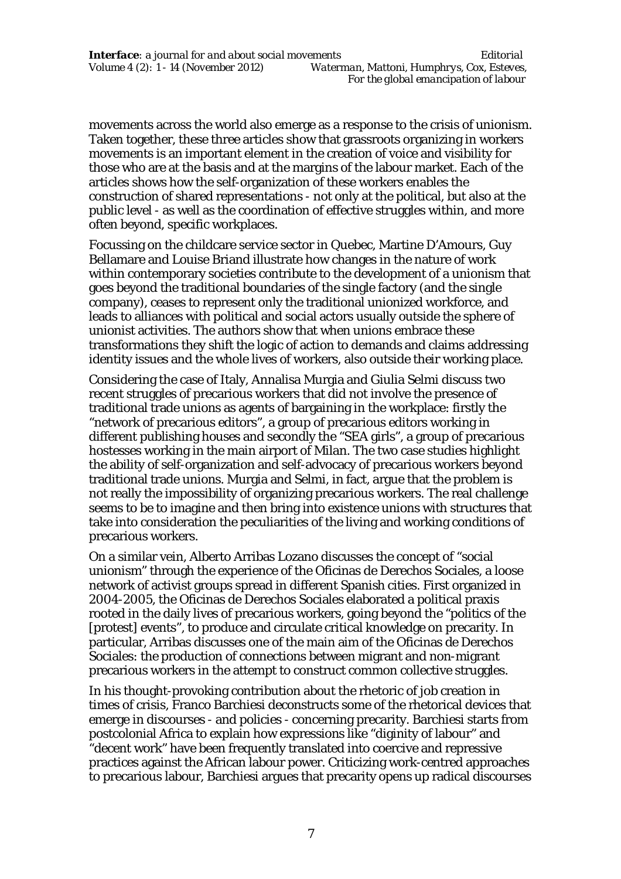movements across the world also emerge as a response to the crisis of unionism. Taken together, these three articles show that grassroots organizing in workers movements is an important element in the creation of voice and visibility for those who are at the basis and at the margins of the labour market. Each of the articles shows how the self-organization of these workers enables the construction of shared representations - not only at the political, but also at the public level - as well as the coordination of effective struggles within, and more often beyond, specific workplaces.

Focussing on the childcare service sector in Quebec, Martine D'Amours, Guy Bellamare and Louise Briand illustrate how changes in the nature of work within contemporary societies contribute to the development of a unionism that goes beyond the traditional boundaries of the single factory (and the single company), ceases to represent only the traditional unionized workforce, and leads to alliances with political and social actors usually outside the sphere of unionist activities. The authors show that when unions embrace these transformations they shift the logic of action to demands and claims addressing identity issues and the whole lives of workers, also outside their working place.

Considering the case of Italy, Annalisa Murgia and Giulia Selmi discuss two recent struggles of precarious workers that did not involve the presence of traditional trade unions as agents of bargaining in the workplace: firstly the "network of precarious editors", a group of precarious editors working in different publishing houses and secondly the "SEA girls", a group of precarious hostesses working in the main airport of Milan. The two case studies highlight the ability of self-organization and self-advocacy of precarious workers beyond traditional trade unions. Murgia and Selmi, in fact, argue that the problem is not really the impossibility of organizing precarious workers. The real challenge seems to be to imagine and then bring into existence unions with structures that take into consideration the peculiarities of the living and working conditions of precarious workers.

On a similar vein, Alberto Arribas Lozano discusses the concept of "social unionism" through the experience of the Oficinas de Derechos Sociales, a loose network of activist groups spread in different Spanish cities. First organized in 2004-2005, the Oficinas de Derechos Sociales elaborated a political praxis rooted in the daily lives of precarious workers, going beyond the "politics of the [protest] events", to produce and circulate critical knowledge on precarity. In particular, Arribas discusses one of the main aim of the Oficinas de Derechos Sociales: the production of connections between migrant and non-migrant precarious workers in the attempt to construct common collective struggles.

In his thought-provoking contribution about the rhetoric of job creation in times of crisis, Franco Barchiesi deconstructs some of the rhetorical devices that emerge in discourses - and policies - concerning precarity. Barchiesi starts from postcolonial Africa to explain how expressions like "diginity of labour" and "decent work" have been frequently translated into coercive and repressive practices against the African labour power. Criticizing work-centred approaches to precarious labour, Barchiesi argues that precarity opens up radical discourses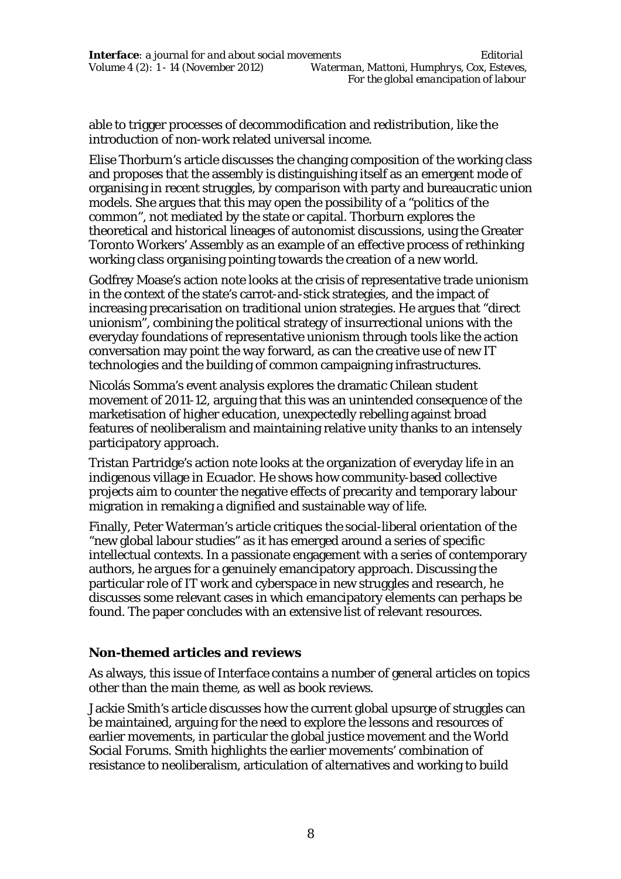able to trigger processes of decommodification and redistribution, like the introduction of non-work related universal income.

Elise Thorburn's article discusses the changing composition of the working class and proposes that the assembly is distinguishing itself as an emergent mode of organising in recent struggles, by comparison with party and bureaucratic union models. She argues that this may open the possibility of a "politics of the common", not mediated by the state or capital. Thorburn explores the theoretical and historical lineages of autonomist discussions, using the Greater Toronto Workers' Assembly as an example of an effective process of rethinking working class organising pointing towards the creation of a new world.

Godfrey Moase's action note looks at the crisis of representative trade unionism in the context of the state's carrot-and-stick strategies, and the impact of increasing precarisation on traditional union strategies. He argues that "direct unionism", combining the political strategy of insurrectional unions with the everyday foundations of representative unionism through tools like the action conversation may point the way forward, as can the creative use of new IT technologies and the building of common campaigning infrastructures.

Nicolás Somma's event analysis explores the dramatic Chilean student movement of 2011-12, arguing that this was an unintended consequence of the marketisation of higher education, unexpectedly rebelling against broad features of neoliberalism and maintaining relative unity thanks to an intensely participatory approach.

Tristan Partridge's action note looks at the organization of everyday life in an indigenous village in Ecuador. He shows how community-based collective projects aim to counter the negative effects of precarity and temporary labour migration in remaking a dignified and sustainable way of life.

Finally, Peter Waterman's article critiques the social-liberal orientation of the "new global labour studies" as it has emerged around a series of specific intellectual contexts. In a passionate engagement with a series of contemporary authors, he argues for a genuinely emancipatory approach. Discussing the particular role of IT work and cyberspace in new struggles and research, he discusses some relevant cases in which emancipatory elements can perhaps be found. The paper concludes with an extensive list of relevant resources.

## **Non-themed articles and reviews**

As always, this issue of *Interface* contains a number of general articles on topics other than the main theme, as well as book reviews.

Jackie Smith's article discusses how the current global upsurge of struggles can be maintained, arguing for the need to explore the lessons and resources of earlier movements, in particular the global justice movement and the World Social Forums. Smith highlights the earlier movements' combination of resistance to neoliberalism, articulation of alternatives and working to build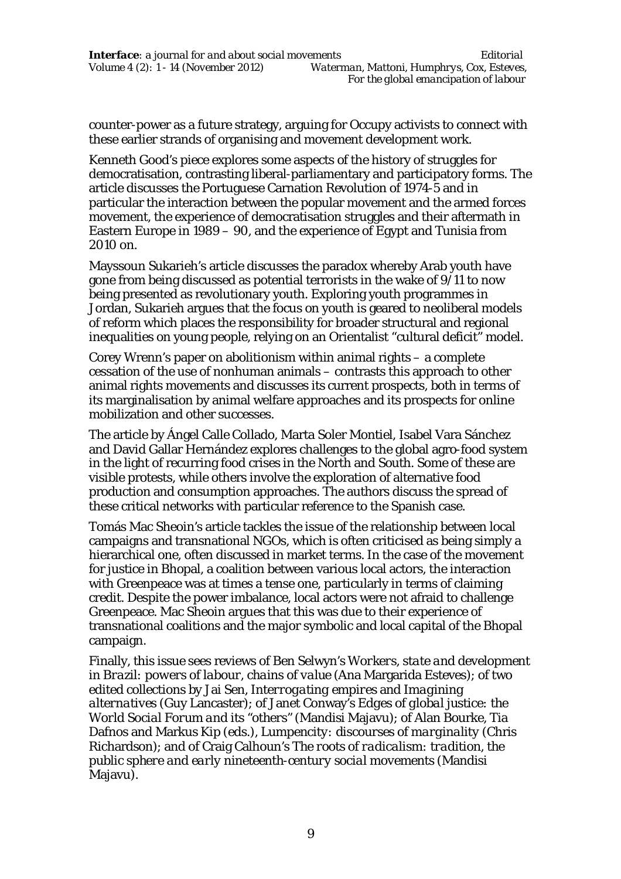counter-power as a future strategy, arguing for Occupy activists to connect with these earlier strands of organising and movement development work.

Kenneth Good's piece explores some aspects of the history of struggles for democratisation, contrasting liberal-parliamentary and participatory forms. The article discusses the Portuguese Carnation Revolution of 1974-5 and in particular the interaction between the popular movement and the armed forces movement, the experience of democratisation struggles and their aftermath in Eastern Europe in 1989 – 90, and the experience of Egypt and Tunisia from 2010 on.

Mayssoun Sukarieh's article discusses the paradox whereby Arab youth have gone from being discussed as potential terrorists in the wake of 9/11 to now being presented as revolutionary youth. Exploring youth programmes in Jordan, Sukarieh argues that the focus on youth is geared to neoliberal models of reform which places the responsibility for broader structural and regional inequalities on young people, relying on an Orientalist "cultural deficit" model.

Corey Wrenn's paper on abolitionism within animal rights – a complete cessation of the use of nonhuman animals – contrasts this approach to other animal rights movements and discusses its current prospects, both in terms of its marginalisation by animal welfare approaches and its prospects for online mobilization and other successes.

The article by Ángel Calle Collado, Marta Soler Montiel, Isabel Vara Sánchez and David Gallar Hernández explores challenges to the global agro-food system in the light of recurring food crises in the North and South. Some of these are visible protests, while others involve the exploration of alternative food production and consumption approaches. The authors discuss the spread of these critical networks with particular reference to the Spanish case.

Tomás Mac Sheoin's article tackles the issue of the relationship between local campaigns and transnational NGOs, which is often criticised as being simply a hierarchical one, often discussed in market terms. In the case of the movement for justice in Bhopal, a coalition between various local actors, the interaction with Greenpeace was at times a tense one, particularly in terms of claiming credit. Despite the power imbalance, local actors were not afraid to challenge Greenpeace. Mac Sheoin argues that this was due to their experience of transnational coalitions and the major symbolic and local capital of the Bhopal campaign.

Finally, this issue sees reviews of Ben Selwyn's *Workers, state and development in Brazil: powers of labour, chains of value* (Ana Margarida Esteves); of two edited collections by Jai Sen, *Interrogating empires* and *Imagining alternatives* (Guy Lancaster); of Janet Conway's *Edges of global justice: the World Social Forum and its "others"* (Mandisi Majavu); of Alan Bourke, Tia Dafnos and Markus Kip (eds.), *Lumpencity: discourses of marginality* (Chris Richardson); and of Craig Calhoun's *The roots of radicalism: tradition, the public sphere and early nineteenth-century social movements* (Mandisi Majavu).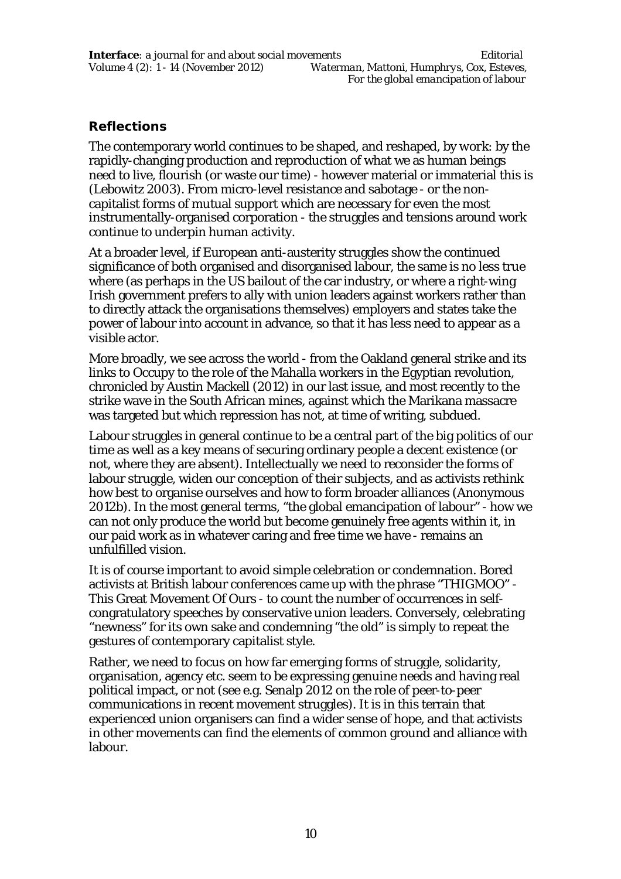## **Reflections**

The contemporary world continues to be shaped, and reshaped, by *work*: by the rapidly-changing production and reproduction of what we as human beings need to live, flourish (or waste our time) - however material or immaterial this is (Lebowitz 2003). From micro-level resistance and sabotage - or the noncapitalist forms of mutual support which are necessary for even the most instrumentally-organised corporation - the struggles and tensions around work continue to underpin human activity.

At a broader level, if European anti-austerity struggles show the continued significance of both organised and disorganised labour, the same is no less true where (as perhaps in the US bailout of the car industry, or where a right-wing Irish government prefers to ally with union leaders against workers rather than to directly attack the organisations themselves) employers and states take the power of labour into account in advance, so that it has less need to appear as a visible actor.

More broadly, we see across the world - from the Oakland general strike and its links to Occupy to the role of the Mahalla workers in the Egyptian revolution, chronicled by Austin Mackell (2012) in our last issue, and most recently to the strike wave in the South African mines, against which the Marikana massacre was targeted but which repression has not, at time of writing, subdued.

Labour struggles in general continue to be a central part of the big politics of our time as well as a key means of securing ordinary people a decent existence (or not, where they are absent). Intellectually we need to reconsider the forms of labour struggle, widen our conception of their subjects, and as activists rethink how best to organise ourselves and how to form broader alliances (Anonymous 2012b). In the most general terms, "the global emancipation of labour" - how we can not only produce the world but become genuinely free agents within it, in our paid work as in whatever caring and free time we have - remains an unfulfilled vision.

It is of course important to avoid simple celebration or condemnation. Bored activists at British labour conferences came up with the phrase "THIGMOO" - This Great Movement Of Ours - to count the number of occurrences in selfcongratulatory speeches by conservative union leaders. Conversely, celebrating "newness" for its own sake and condemning "the old" is simply to repeat the gestures of contemporary capitalist style.

Rather, we need to focus on how far emerging forms of struggle, solidarity, organisation, agency etc. seem to be expressing genuine needs and having real political impact, or not (see e.g. Senalp 2012 on the role of peer-to-peer communications in recent movement struggles). It is in this terrain that experienced union organisers can find a wider sense of hope, and that activists in other movements can find the elements of common ground and alliance with labour.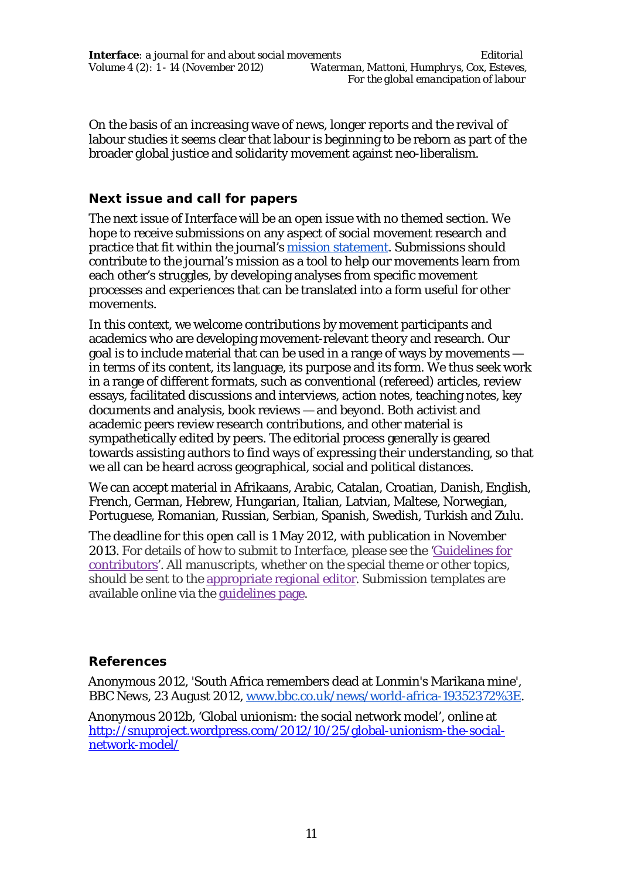*Interface: a journal for and about social movements Editorial Volume 4 (2): 1 - 14 (November 2012) Waterman, Mattoni, Humphrys, Cox, Esteves, For the global emancipation of labour*

On the basis of an increasing wave of news, longer reports and the revival of labour studies it seems clear that labour is beginning to be reborn as part of the broader global justice and solidarity movement against neo-liberalism.

#### **Next issue and call for papers**

The next issue of *Interface* will be an open issue with no themed section. We hope to receive submissions on any aspect of social movement research and practice that fit within the journal's mission statement. Submissions should contribute to the journal's mission as a tool to help our movements learn from each other's struggles, by developing analyses from specific movement processes and experiences that can be translated into a form useful for other movements.

In this context, we welcome contributions by movement participants and academics who are developing movement-relevant theory and research. Our goal is to include material that can be used in a range of ways by movements in terms of its content, its language, its purpose and its form. We thus seek work in a range of different formats, such as conventional (refereed) articles, review essays, facilitated discussions and interviews, action notes, teaching notes, key documents and analysis, book reviews — and beyond. Both activist and academic peers review research contributions, and other material is sympathetically edited by peers. The editorial process generally is geared towards assisting authors to find ways of expressing their understanding, so that we all can be heard across geographical, social and political distances.

We can accept material in Afrikaans, Arabic, Catalan, Croatian, Danish, English, French, German, Hebrew, Hungarian, Italian, Latvian, Maltese, Norwegian, Portuguese, Romanian, Russian, Serbian, Spanish, Swedish, Turkish and Zulu.

The deadline for this open call is 1 May 2012, with publication in November 2013. For details of how to submit to *Interface*, please see the 'Guidelines for contributors'. All manuscripts, whether on the special theme or other topics, should be sent to the appropriate regional editor. Submission templates are available online via the guidelines page.

## **References**

Anonymous 2012, 'South Africa remembers dead at Lonmin's Marikana mine', *BBC News*, 23 August 2012, www.bbc.co.uk/news/world-africa-19352372%3E.

Anonymous 2012b, 'Global unionism: the social network model', online at http://snuproject.wordpress.com/2012/10/25/global-unionism-the-socialnetwork-model/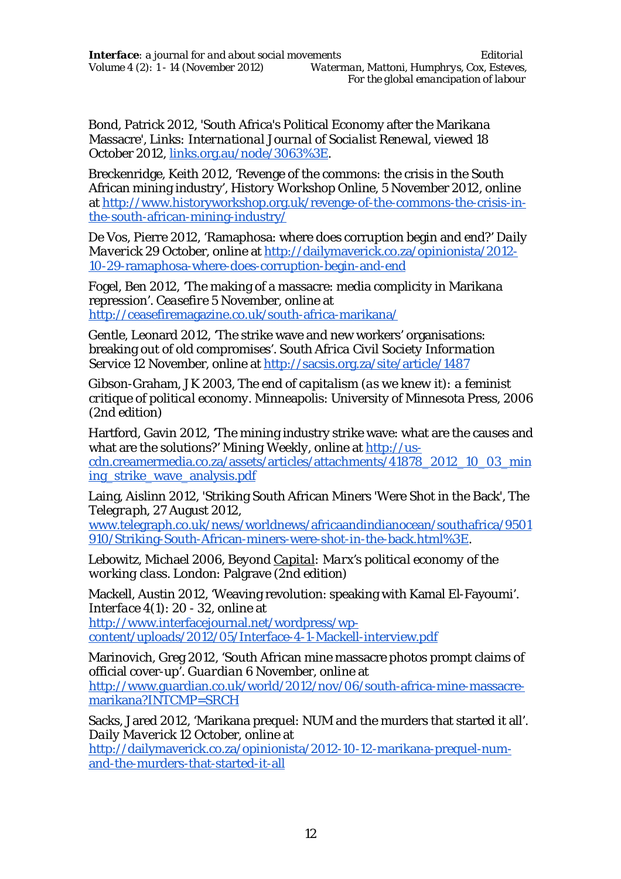Bond, Patrick 2012, 'South Africa's Political Economy after the Marikana Massacre', *Links: International Journal of Socialist Renewal*, viewed 18 October 2012, links.org.au/node/3063%3E.

Breckenridge, Keith 2012, 'Revenge of the commons: the crisis in the South African mining industry', *History Workshop Online*, 5 November 2012, online at http://www.historyworkshop.org.uk/revenge-of-the-commons-the-crisis-inthe-south-african-mining-industry/

De Vos, Pierre 2012, 'Ramaphosa: where does corruption begin and end?' *Daily Maverick* 29 October, online at http://dailymaverick.co.za/opinionista/2012- 10-29-ramaphosa-where-does-corruption-begin-and-end

Fogel, Ben 2012, 'The making of a massacre: media complicity in Marikana repression'. *Ceasefire* 5 November, online at http://ceasefiremagazine.co.uk/south-africa-marikana/

Gentle, Leonard 2012, 'The strike wave and new workers' organisations: breaking out of old compromises'. *South Africa Civil Society Information Service* 12 November, online at http://sacsis.org.za/site/article/1487

Gibson-Graham, JK 2003, *The end of capitalism (as we knew it): a feminist critique of political economy*. Minneapolis: University of Minnesota Press, 2006 (2nd edition)

Hartford, Gavin 2012, 'The mining industry strike wave: what are the causes and what are the solutions?' *Mining Weekly*, online at http://uscdn.creamermedia.co.za/assets/articles/attachments/41878\_2012\_10\_03\_min ing\_strike\_wave\_analysis.pdf

Laing, Aislinn 2012, 'Striking South African Miners 'Were Shot in the Back', *The Telegraph*, 27 August 2012,

www.telegraph.co.uk/news/worldnews/africaandindianocean/southafrica/9501 910/Striking-South-African-miners-were-shot-in-the-back.html%3E.

Lebowitz, Michael 2006, *Beyond Capital: Marx's political economy of the working class*. London: Palgrave (2nd edition)

Mackell, Austin 2012, 'Weaving revolution: speaking with Kamal El-Fayoumi'. *Interface* 4(1): 20 - 32, online at http://www.interfacejournal.net/wordpress/wpcontent/uploads/2012/05/Interface-4-1-Mackell-interview.pdf

Marinovich, Greg 2012, 'South African mine massacre photos prompt claims of official cover-up'. *Guardian* 6 November, online at http://www.guardian.co.uk/world/2012/nov/06/south-africa-mine-massacremarikana?INTCMP=SRCH

Sacks, Jared 2012, 'Marikana prequel: NUM and the murders that started it all'. *Daily Maverick* 12 October, online at

http://dailymaverick.co.za/opinionista/2012-10-12-marikana-prequel-numand-the-murders-that-started-it-all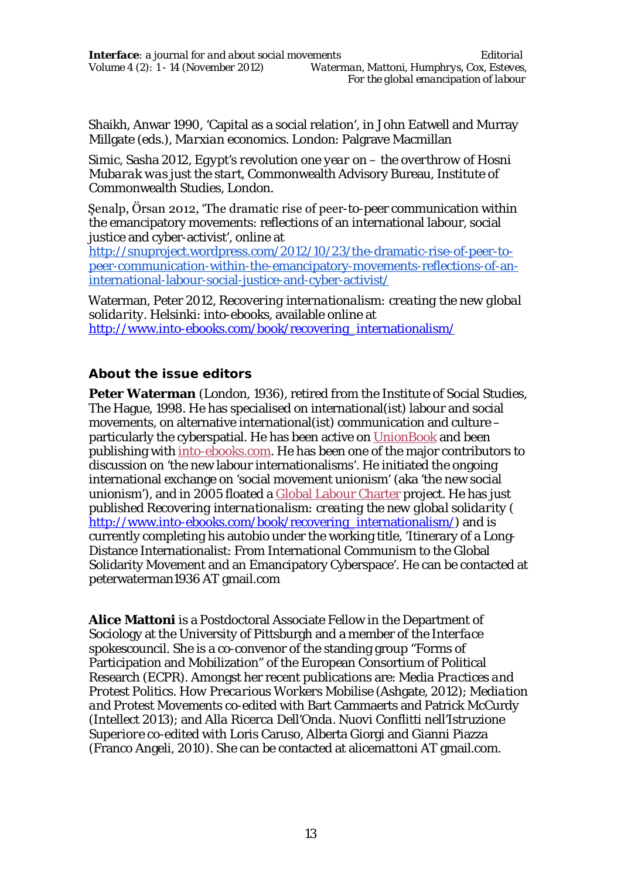Shaikh, Anwar 1990, 'Capital as a social relation', in John Eatwell and Murray Millgate (eds.), *Marxian economics*. London: Palgrave Macmillan

Simic, Sasha 2012, *Egypt's revolution one year on – the overthrow of Hosni Mubarak was just the start*, Commonwealth Advisory Bureau, Institute of Commonwealth Studies, London.

Şenalp, Örsan 2012, 'The dramatic rise of peer-to-peer communication within the emancipatory movements: reflections of an international labour, social justice and cyber-activist', online at

http://snuproject.wordpress.com/2012/10/23/the-dramatic-rise-of-peer-topeer-communication-within-the-emancipatory-movements-reflections-of-aninternational-labour-social-justice-and-cyber-activist/

Waterman, Peter 2012, *Recovering internationalism: creating the new global solidarity*. Helsinki: into-ebooks, available online at http://www.into-ebooks.com/book/recovering\_internationalism/

## **About the issue editors**

**Peter Waterman** (London, 1936), retired from the Institute of Social Studies, The Hague, 1998. He has specialised on international(ist) labour and social movements, on alternative international(ist) communication and culture – particularly the cyberspatial. He has been active on UnionBook and been publishing with into-ebooks.com. He has been one of the major contributors to discussion on 'the new labour internationalisms'. He initiated the ongoing international exchange on 'social movement unionism' (aka 'the new social unionism'), and in 2005 floated a Global Labour Charter project. He has just published *Recovering internationalism: creating the new global solidarity* ( http://www.into-ebooks.com/book/recovering\_internationalism/) and is currently completing his autobio under the working title, 'Itinerary of a Long-Distance Internationalist: From International Communism to the Global Solidarity Movement and an Emancipatory Cyberspace'. He can be contacted at peterwaterman1936 AT gmail.com

**Alice Mattoni** is a Postdoctoral Associate Fellow in the Department of Sociology at the University of Pittsburgh and a member of the *Interface* spokescouncil. She is a co-convenor of the standing group "Forms of Participation and Mobilization" of the European Consortium of Political Research (ECPR). Amongst her recent publications are: *Media Practices and Protest Politics. How Precarious Workers Mobilise* (Ashgate, 2012); *Mediation and Protest Movements* co-edited with Bart Cammaerts and Patrick McCurdy (Intellect 2013); and *Alla Ricerca Dell'Onda. Nuovi Conflitti nell'Istruzione Superiore* co-edited with Loris Caruso, Alberta Giorgi and Gianni Piazza (Franco Angeli, 2010). She can be contacted at alicemattoni AT gmail.com.